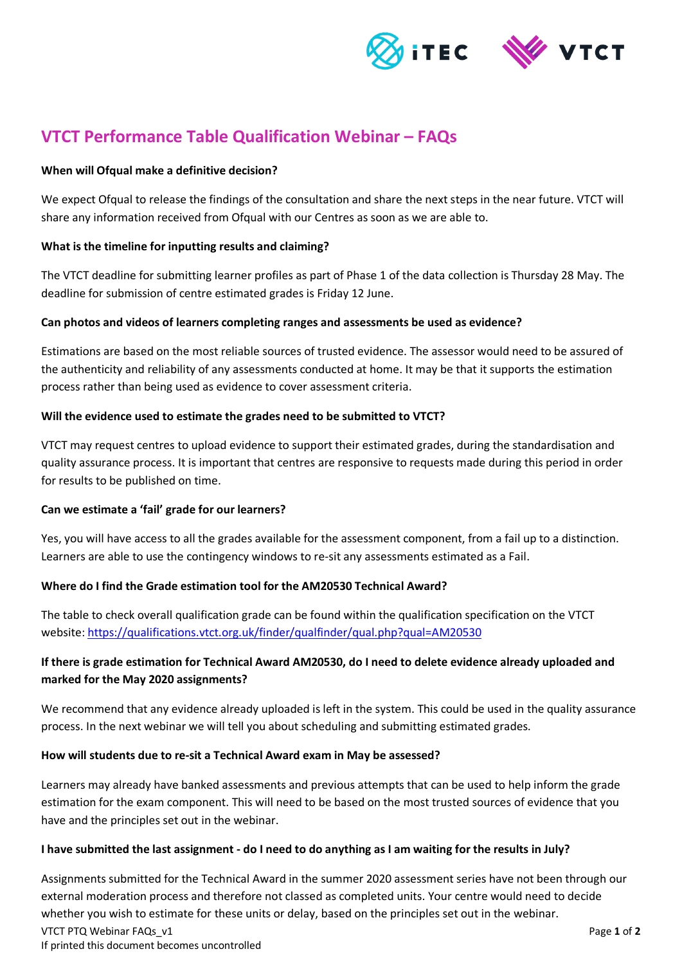



# **VTCT Performance Table Qualification Webinar – FAQs**

# **When will Ofqual make a definitive decision?**

We expect Ofqual to release the findings of the consultation and share the next steps in the near future. VTCT will share any information received from Ofqual with our Centres as soon as we are able to.

# **What is the timeline for inputting results and claiming?**

The VTCT deadline for submitting learner profiles as part of Phase 1 of the data collection is Thursday 28 May. The deadline for submission of centre estimated grades is Friday 12 June.

# **Can photos and videos of learners completing ranges and assessments be used as evidence?**

Estimations are based on the most reliable sources of trusted evidence. The assessor would need to be assured of the authenticity and reliability of any assessments conducted at home. It may be that it supports the estimation process rather than being used as evidence to cover assessment criteria.

# **Will the evidence used to estimate the grades need to be submitted to VTCT?**

VTCT may request centres to upload evidence to support their estimated grades, during the standardisation and quality assurance process. It is important that centres are responsive to requests made during this period in order for results to be published on time.

#### **Can we estimate a 'fail' grade for our learners?**

Yes, you will have access to all the grades available for the assessment component, from a fail up to a distinction. Learners are able to use the contingency windows to re-sit any assessments estimated as a Fail.

# **Where do I find the Grade estimation tool for the AM20530 Technical Award?**

The table to check overall qualification grade can be found within the qualification specification on the VTCT website[: https://qualifications.vtct.org.uk/finder/qualfinder/qual.php?qual=AM20530](https://qualifications.vtct.org.uk/finder/qualfinder/qual.php?qual=AM20530)

# **If there is grade estimation for Technical Award AM20530, do I need to delete evidence already uploaded and marked for the May 2020 assignments?**

We recommend that any evidence already uploaded is left in the system. This could be used in the quality assurance process. In the next webinar we will tell you about scheduling and submitting estimated grades.

#### **How will students due to re-sit a Technical Award exam in May be assessed?**

Learners may already have banked assessments and previous attempts that can be used to help inform the grade estimation for the exam component. This will need to be based on the most trusted sources of evidence that you have and the principles set out in the webinar.

#### **I have submitted the last assignment - do I need to do anything as I am waiting for the results in July?**

VTCT PTQ Webinar FAQs\_v1 Page **1** of **2** If printed this document becomes uncontrolled Assignments submitted for the Technical Award in the summer 2020 assessment series have not been through our external moderation process and therefore not classed as completed units. Your centre would need to decide whether you wish to estimate for these units or delay, based on the principles set out in the webinar.